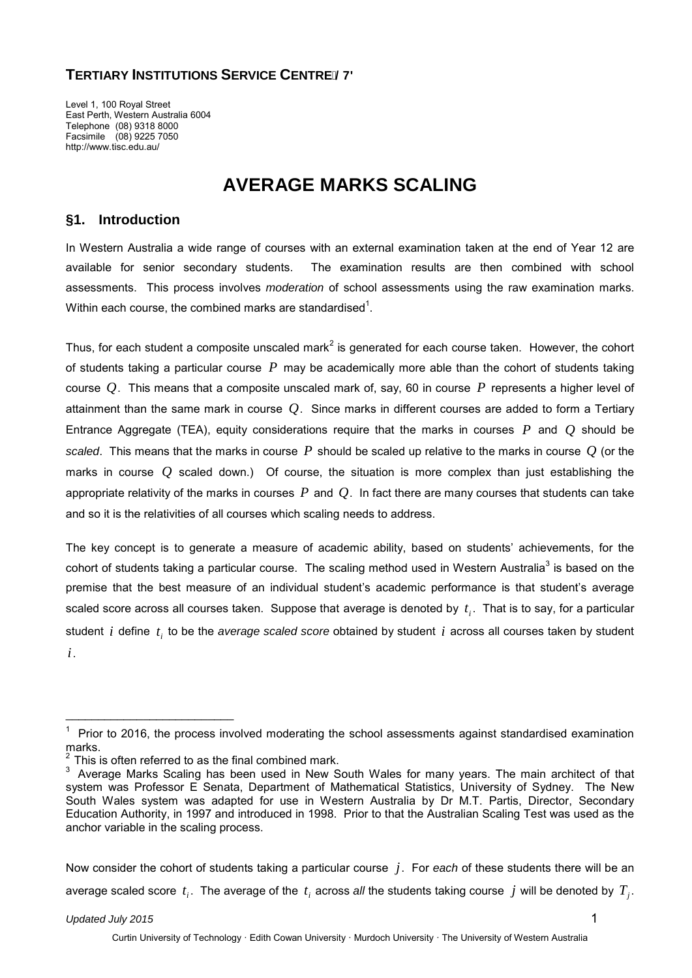# **TERTIARY INSTITUTIONS SERVICE CENTRE/7'**

Level 1, 100 Royal Street East Perth, Western Australia 6004 Telephone (08) 9318 8000 Facsimile (08) 9225 7050 http://www.tisc.edu.au/

# **AVERAGE MARKS SCALING**

# **§1. Introduction**

In Western Australia a wide range of courses with an external examination taken at the end of Year 12 are available for senior secondary students. The examination results are then combined with school assessments. This process involves *moderation* of school assessments using the raw examination marks. Within each course, the combined marks are standardised $^1$ .

Thus, for each student a composite unscaled mark<sup>2</sup> is generated for each course taken. However, the cohort of students taking a particular course *P* may be academically more able than the cohort of students taking course *Q*. This means that a composite unscaled mark of, say, 60 in course *P* represents a higher level of attainment than the same mark in course *Q*. Since marks in different courses are added to form a Tertiary Entrance Aggregate (TEA), equity considerations require that the marks in courses *P* and *Q* should be *scaled*. This means that the marks in course *P* should be scaled up relative to the marks in course *Q* (or the marks in course *Q* scaled down.) Of course, the situation is more complex than just establishing the appropriate relativity of the marks in courses *P* and *Q*. In fact there are many courses that students can take and so it is the relativities of all courses which scaling needs to address.

The key concept is to generate a measure of academic ability, based on students' achievements, for the cohort of students taking a particular course. The scaling method used in Western Australia<sup>3</sup> is based on the premise that the best measure of an individual student's academic performance is that student's average scaled score across all courses taken. Suppose that average is denoted by  $t_i$ . That is to say, for a particular student *i* define *ti* to be the *average scaled score* obtained by student *i* across all courses taken by student

*i*.

\_\_\_\_\_\_\_\_\_\_\_\_\_\_\_\_\_\_\_\_\_\_\_\_\_\_

Now consider the cohort of students taking a particular course *j*. For *each* of these students there will be an average scaled score  $t_i$ . The average of the  $t_i$  across all the students taking course  $j$  will be denoted by  $T_i$ .

## *Updated July 2015* 1

 $1$  Prior to 2016, the process involved moderating the school assessments against standardised examination marks.

This is often referred to as the final combined mark.

 $3$  Average Marks Scaling has been used in New South Wales for many years. The main architect of that system was Professor E Senata, Department of Mathematical Statistics, University of Sydney. The New South Wales system was adapted for use in Western Australia by Dr M.T. Partis, Director, Secondary Education Authority, in 1997 and introduced in 1998. Prior to that the Australian Scaling Test was used as the anchor variable in the scaling process.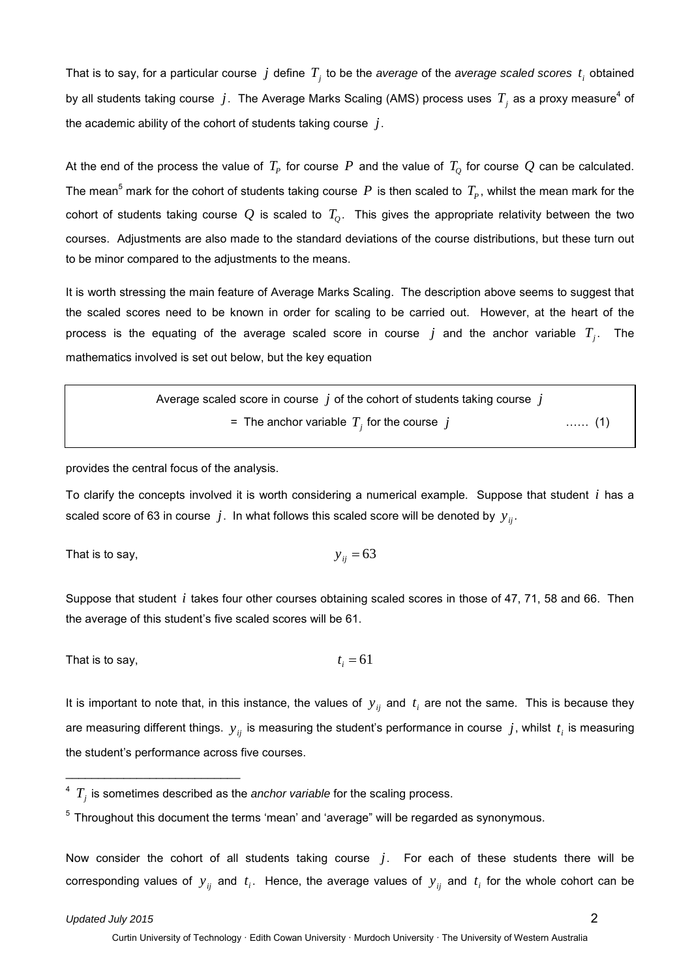That is to say, for a particular course  $j$  define  $T_i$  to be the *average* of the *average* scaled scores  $t_i$  obtained by all students taking course  $j$ . The Average Marks Scaling (AMS) process uses  $T_j$  as a proxy measure<sup>4</sup> of the academic ability of the cohort of students taking course *j*.

At the end of the process the value of  $T_p$  for course  $P$  and the value of  $T_o$  for course  $Q$  can be calculated. The mean<sup>5</sup> mark for the cohort of students taking course  $P$  is then scaled to  $T_p$ , whilst the mean mark for the cohort of students taking course  $Q$  is scaled to  $T<sub>O</sub>$ . This gives the appropriate relativity between the two courses. Adjustments are also made to the standard deviations of the course distributions, but these turn out to be minor compared to the adjustments to the means.

It is worth stressing the main feature of Average Marks Scaling. The description above seems to suggest that the scaled scores need to be known in order for scaling to be carried out. However, at the heart of the process is the equating of the average scaled score in course  $j$  and the anchor variable  $T_j$ . The mathematics involved is set out below, but the key equation

> Average scaled score in course *j* of the cohort of students taking course *j* = The anchor variable  $T_j$  for the course  $j$  …… (1)

provides the central focus of the analysis.

To clarify the concepts involved it is worth considering a numerical example. Suppose that student *i* has a scaled score of 63 in course  $j$ . In what follows this scaled score will be denoted by  $y_{ii}$ .

That is to say, 
$$
y_{ij} = 63
$$

Suppose that student *i* takes four other courses obtaining scaled scores in those of 47, 71, 58 and 66. Then the average of this student's five scaled scores will be 61.

That is to say, 
$$
t_i = 61
$$

It is important to note that, in this instance, the values of  $y_{ij}$  and  $t_i$  are not the same. This is because they are measuring different things.  $y_{ij}$  is measuring the student's performance in course  $j$ , whilst  $t_i$  is measuring the student's performance across five courses.

Now consider the cohort of all students taking course *j*. For each of these students there will be corresponding values of  $y_{ij}$  and  $t_i$ . Hence, the average values of  $y_{ij}$  and  $t_i$  for the whole cohort can be

\_\_\_\_\_\_\_\_\_\_\_\_\_\_\_\_\_\_\_\_\_\_\_\_\_\_\_

 $4T_i$  is sometimes described as the *anchor variable* for the scaling process.

 $5$  Throughout this document the terms 'mean' and 'average" will be regarded as synonymous.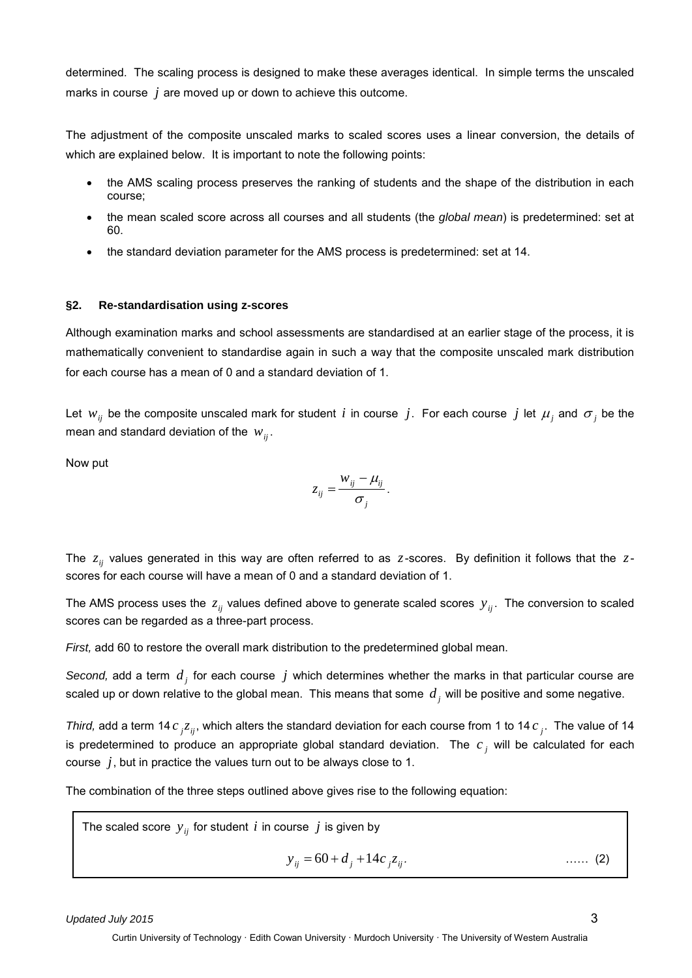determined. The scaling process is designed to make these averages identical. In simple terms the unscaled marks in course *j* are moved up or down to achieve this outcome.

The adjustment of the composite unscaled marks to scaled scores uses a linear conversion, the details of which are explained below. It is important to note the following points:

- the AMS scaling process preserves the ranking of students and the shape of the distribution in each course;
- the mean scaled score across all courses and all students (the *global mean*) is predetermined: set at 60.
- the standard deviation parameter for the AMS process is predetermined: set at 14.

#### **§2. Re-standardisation using z-scores**

Although examination marks and school assessments are standardised at an earlier stage of the process, it is mathematically convenient to standardise again in such a way that the composite unscaled mark distribution for each course has a mean of 0 and a standard deviation of 1.

Let  $w_{ii}$  be the composite unscaled mark for student *i* in course *j*. For each course *j* let  $\mu_i$  and  $\sigma_i$  be the mean and standard deviation of the  $w_{ij}$ .

Now put

$$
z_{ij} = \frac{w_{ij} - \mu_{ij}}{\sigma_j}.
$$

The *zij* values generated in this way are often referred to as *z*-scores. By definition it follows that the *z*scores for each course will have a mean of 0 and a standard deviation of 1.

The AMS process uses the  $z_{ii}$  values defined above to generate scaled scores  $y_{ii}$ . The conversion to scaled scores can be regarded as a three-part process.

*First,* add 60 to restore the overall mark distribution to the predetermined global mean.

*Second,* add a term *d <sup>j</sup>* for each course *j* which determines whether the marks in that particular course are scaled up or down relative to the global mean. This means that some  $\,d_{\,j}\,$  will be positive and some negative.

*Third,* add a term 14  $c_j z_{ij}$ , which alters the standard deviation for each course from 1 to 14  $c_j$ . The value of 14 is predetermined to produce an appropriate global standard deviation. The *c <sup>j</sup>* will be calculated for each course *j*, but in practice the values turn out to be always close to 1.

The combination of the three steps outlined above gives rise to the following equation:

The scaled score  $y_{ii}$  for student *i* in course *j* is given by

$$
y_{ij} = 60 + d_j + 14c_j z_{ij}.
$$

*Updated July 2015* 3

Curtin University of Technology · Edith Cowan University · Murdoch University · The University of Western Australia

*zij .* …… (2)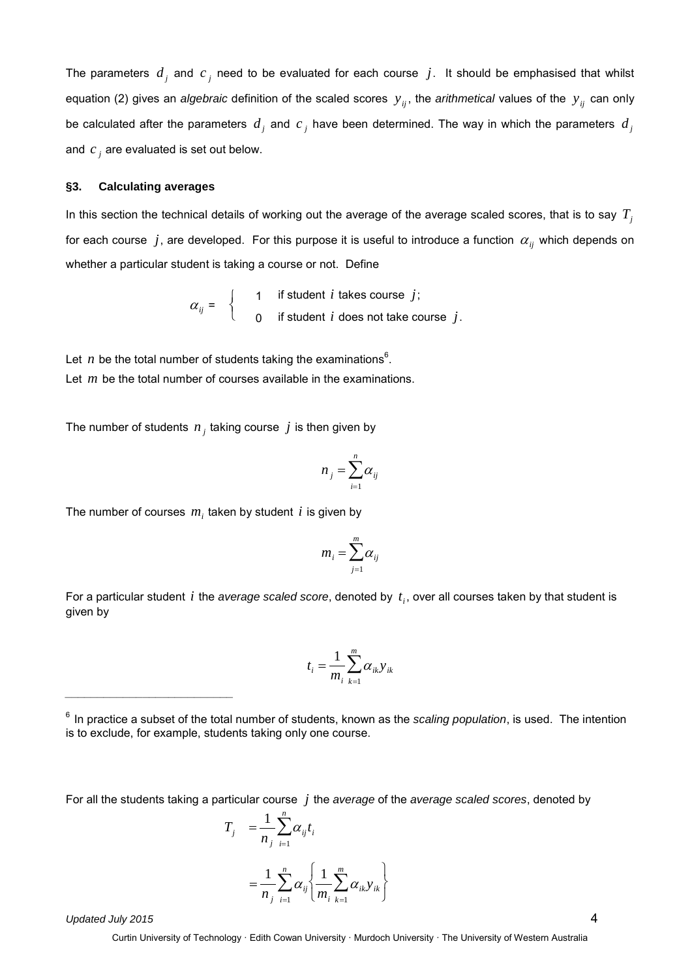The parameters  $d_i$  and  $c_j$  need to be evaluated for each course  $j$ . It should be emphasised that whilst equation (2) gives an *algebraic* definition of the scaled scores  $y_{ij}$ , the *arithmetical* values of the  $y_{ij}$  can only be calculated after the parameters  $d_j$  and  $c_j$  have been determined. The way in which the parameters  $d_j$ and *c <sup>j</sup>* are evaluated is set out below.

#### **§3. Calculating averages**

In this section the technical details of working out the average of the average scaled scores, that is to say  $T_i$ for each course  $j$ , are developed. For this purpose it is useful to introduce a function  $\alpha_{ii}$  which depends on whether a particular student is taking a course or not. Define

$$
\alpha_{ij} = \begin{cases} 1 & \text{if student } i \text{ takes course } j; \\ 0 & \text{if student } i \text{ does not take course } j. \end{cases}
$$

Let  $n$  be the total number of students taking the examinations<sup>6</sup>. Let *m* be the total number of courses available in the examinations.

The number of students  $n_j$  taking course  $j$  is then given by

$$
n_{j} = \sum_{i=1}^{n} \alpha_{ij}
$$

The number of courses  $m<sub>i</sub>$  taken by student  $i$  is given by

$$
m_i = \sum_{j=1}^m \alpha_{ij}
$$

For a particular student *i* the *average scaled score*, denoted by  $t_i$ , over all courses taken by that student is given by

$$
t_i = \frac{1}{m_i} \sum_{k=1}^{m} \alpha_{ik} y_{ik}
$$

For all the students taking a particular course *j* the *average* of the *average scaled scores*, denoted by

$$
T_{j} = \frac{1}{n_{j}} \sum_{i=1}^{n} \alpha_{ij} t_{i}
$$
  
= 
$$
\frac{1}{n_{j}} \sum_{i=1}^{n} \alpha_{ij} \left\{ \frac{1}{m_{i}} \sum_{k=1}^{m} \alpha_{ik} y_{ik} \right\}
$$

*Updated July 2015* 4

*\_\_\_\_\_\_\_\_\_\_\_\_\_\_\_\_\_\_\_\_\_\_\_\_\_\_*

Curtin University of Technology · Edith Cowan University · Murdoch University · The University of Western Australia

<sup>6</sup> In practice a subset of the total number of students, known as the *scaling population*, is used. The intention is to exclude, for example, students taking only one course.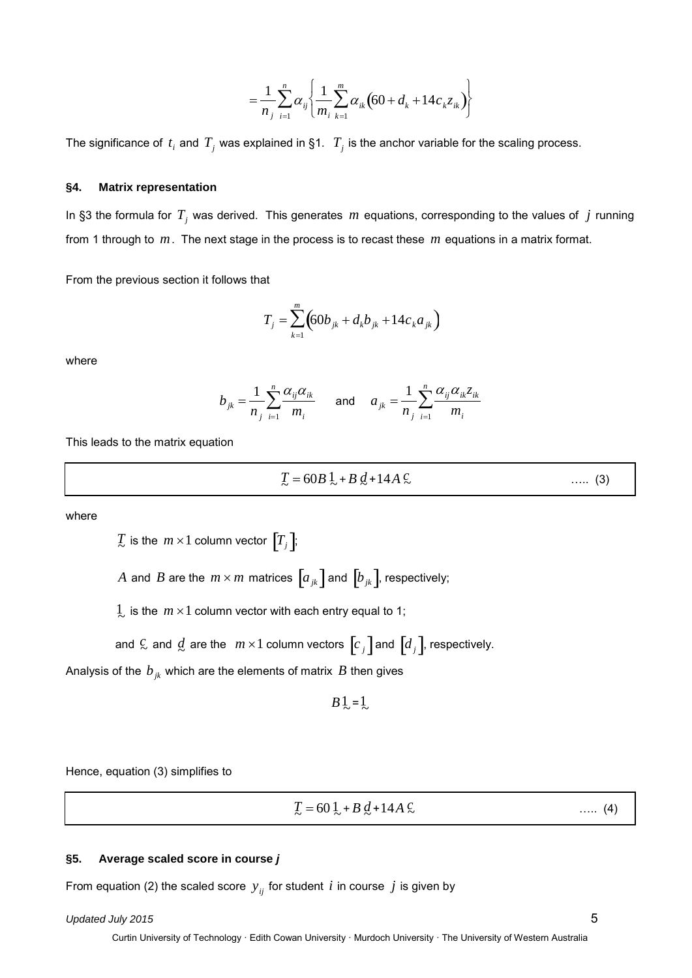$$
= \frac{1}{n_j} \sum_{i=1}^n \alpha_{ij} \left\{ \frac{1}{m_i} \sum_{k=1}^m \alpha_{ik} \left( 60 + d_k + 14 c_k z_{ik} \right) \right\}
$$

The significance of  $t_i$  and  $T_j$  was explained in §1.  $T_j$  is the anchor variable for the scaling process.

#### **§4. Matrix representation**

In §3 the formula for *Tj* was derived. This generates *m* equations, corresponding to the values of *j* running from 1 through to *m*. The next stage in the process is to recast these *m* equations in a matrix format.

From the previous section it follows that

$$
T_j = \sum_{k=1}^{m} \left( 60b_{jk} + d_k b_{jk} + 14c_k a_{jk} \right)
$$

where

$$
b_{jk} = \frac{1}{n_j} \sum_{i=1}^n \frac{\alpha_{ij} \alpha_{ik}}{m_i} \quad \text{and} \quad a_{jk} = \frac{1}{n_j} \sum_{i=1}^n \frac{\alpha_{ij} \alpha_{ik} z_{ik}}{m_i}
$$

This leads to the matrix equation

$$
T = 60B \cdot 1 + B \cdot d + 14A \cdot c \tag{3}
$$

where

 $\overline{T}_j$  is the  $m \times 1$  column vector  $\left[T_j\right]$ ;

*A* and *B* are the  $m \times m$  matrices  $\left[a_{jk}\right]$  and  $\left[b_{jk}\right]$ , respectively;

 $\frac{1}{2}$  is the  $m \times 1$  column vector with each entry equal to 1;

and  $\frac{c}{\sim}$  and  $\frac{d}{\sim}$  are the  $m \times 1$  column vectors  $\left[c_{\,j}\right]$  and  $\left[d_{\,j}\right]$ , respectively.

Analysis of the  $b_{ik}$  which are the elements of matrix  $B$  then gives

$$
B\frac{1}{2}=\frac{1}{2}
$$

Hence, equation (3) simplifies to

 $T = 60\frac{1}{2} + B\frac{d}{2} + 14A\frac{c}{2}$ 

 $\ldots$  (4)

#### **§5. Average scaled score in course** *j*

From equation (2) the scaled score  $y_{ij}$  for student *i* in course *j* is given by

## *Updated July 2015* 5

Curtin University of Technology · Edith Cowan University · Murdoch University · The University of Western Australia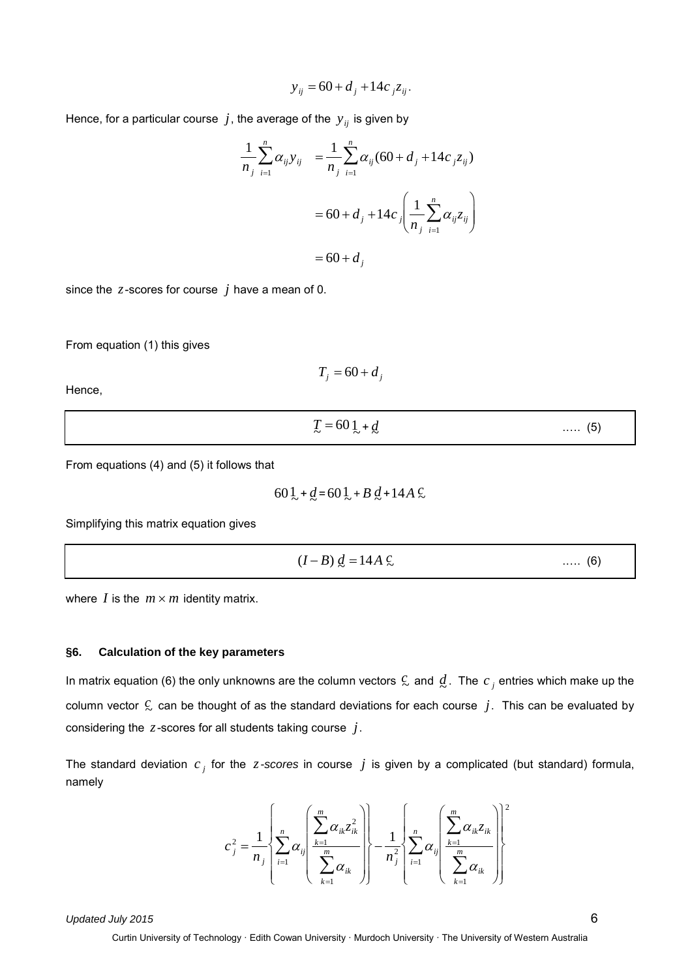$$
y_{ij} = 60 + d_j + 14c_j z_{ij}.
$$

Hence, for a particular course  $j$ , the average of the  $y_{ij}$  is given by

$$
\frac{1}{n_j} \sum_{i=1}^n \alpha_{ij} y_{ij} = \frac{1}{n_j} \sum_{i=1}^n \alpha_{ij} (60 + d_j + 14c_j z_{ij})
$$

$$
= 60 + d_j + 14c_j \left( \frac{1}{n_j} \sum_{i=1}^n \alpha_{ij} z_{ij} \right)
$$

$$
= 60 + d_j
$$

since the *z*-scores for course *j* have a mean of 0.

From equation (1) this gives

$$
T_j = 60 + d_j
$$

Hence,

$$
T = 60 \cdot 1 + d \tag{5}
$$

From equations (4) and (5) it follows that

$$
60\frac{1}{2} + \frac{d}{2} = 60\frac{1}{2} + B\frac{d}{2} + 14A\frac{c}{2}
$$

Simplifying this matrix equation gives

$$
(I-B)\underline{d} = 14A\ \mathcal{L} \tag{6}
$$

where *I* is the  $m \times m$  identity matrix.

#### **§6. Calculation of the key parameters**

In matrix equation (6) the only unknowns are the column vectors  $\zeta$  and  $\vec{d}$ . The  $c_j$  entries which make up the column vector  $\mathfrak{C}$  can be thought of as the standard deviations for each course  $\,j.$  This can be evaluated by considering the *z*-scores for all students taking course *j*.

The standard deviation  $c_j$  for the *z*-scores in course  $j$  is given by a complicated (but standard) formula, namely

$$
c_j^2 = \frac{1}{n_j} \left\{ \sum_{i=1}^n \alpha_{ij} \left( \frac{\sum_{k=1}^m \alpha_{ik} z_{ik}^2}{\sum_{k=1}^m \alpha_{ik}} \right) \right\} - \frac{1}{n_j^2} \left\{ \sum_{i=1}^n \alpha_{ij} \left( \frac{\sum_{k=1}^m \alpha_{ik} z_{ik}}{\sum_{k=1}^m \alpha_{ik}} \right) \right\}^2
$$

*Updated July 2015* 6